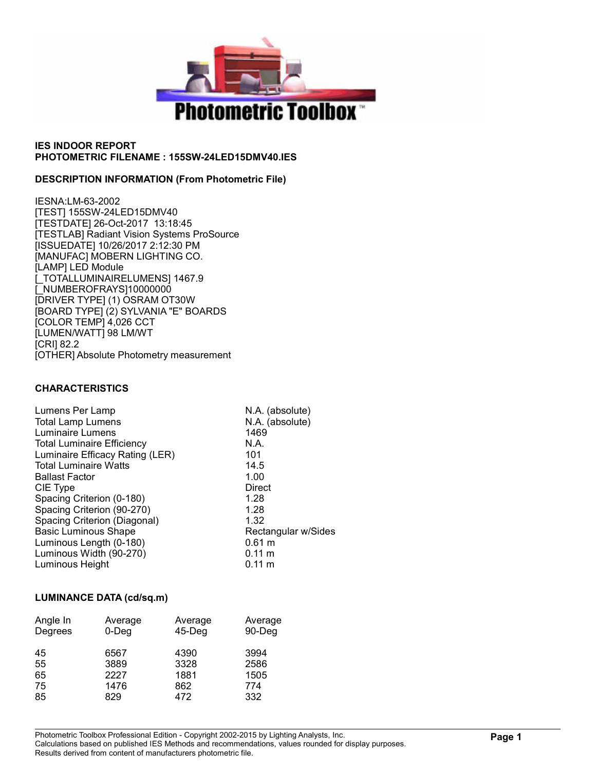

### DESCRIPTION INFORMATION (From Photometric File)

IESNA:LM-63-2002 [TEST] 155SW-24LED15DMV40 [TESTDATE] 26-Oct-2017 13:18:45 [TESTLAB] Radiant Vision Systems ProSource [ISSUEDATE] 10/26/2017 2:12:30 PM [MANUFAC] MOBERN LIGHTING CO. [LAMP] LED Module [\_TOTALLUMINAIRELUMENS] 1467.9 [\_NUMBEROFRAYS]10000000 [DRIVER TYPE] (1) OSRAM OT30W [BOARD TYPE] (2) SYLVANIA "E" BOARDS [COLOR TEMP] 4,026 CCT [LUMEN/WATT] 98 LM/WT [CRI] 82.2 [OTHER] Absolute Photometry measurement

### CHARACTERISTICS

| N.A. (absolute)<br>N.A. (absolute)<br>1469 |
|--------------------------------------------|
| N.A.                                       |
| 101                                        |
| 14.5                                       |
| 1.00                                       |
| Direct                                     |
| 1.28                                       |
| 1.28                                       |
| 1.32                                       |
| Rectangular w/Sides                        |
| $0.61 \text{ m}$                           |
| $0.11 \text{ m}$                           |
| $0.11 \text{ m}$                           |
|                                            |

#### LUMINANCE DATA (cd/sq.m)

| Angle In<br>Degrees | Average<br>$0$ -Deg | Average<br>$45$ -Deg | Average<br>90-Deg |
|---------------------|---------------------|----------------------|-------------------|
| 45                  | 6567                | 4390                 | 3994              |
| 55                  | 3889                | 3328                 | 2586              |
| 65                  | 2227                | 1881                 | 1505              |
| 75                  | 1476                | 862                  | 774               |
| 85                  | 829                 | 472                  | 332               |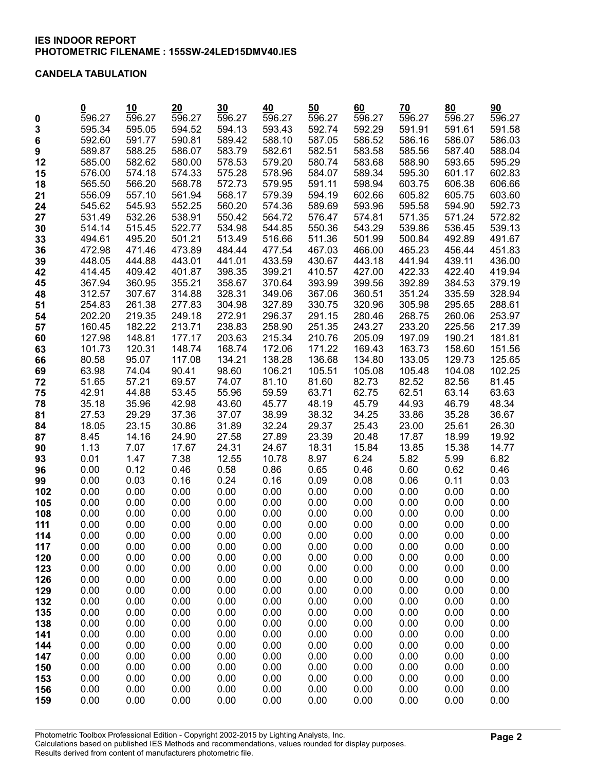### CANDELA TABULATION

|             |                | 10                  | 20                  | 30             | 40             | 50             | 60             | 70             | 80             | 90             |
|-------------|----------------|---------------------|---------------------|----------------|----------------|----------------|----------------|----------------|----------------|----------------|
| $\mathbf 0$ | 596.27         | $\overline{596.27}$ | $\overline{596.27}$ | 596.27         | 596.27         | 596.27         | 596.27         | 596.27         | 596.27         | 596.27         |
| 3           | 595.34         | 595.05              | 594.52              | 594.13         | 593.43         | 592.74         | 592.29         | 591.91         | 591.61         | 591.58         |
| 6           | 592.60         | 591.77              | 590.81              | 589.42         | 588.10         | 587.05         | 586.52         | 586.16         | 586.07         | 586.03         |
| 9           | 589.87         | 588.25              | 586.07              | 583.79         | 582.61         | 582.51         | 583.58         | 585.56         | 587.40         | 588.04         |
| 12          | 585.00         | 582.62              | 580.00              | 578.53         | 579.20         | 580.74         | 583.68         | 588.90         | 593.65         | 595.29         |
| 15          | 576.00         | 574.18              | 574.33              | 575.28         | 578.96         | 584.07         | 589.34         | 595.30         | 601.17         | 602.83         |
| 18          | 565.50         | 566.20              | 568.78              | 572.73         | 579.95         | 591.11         | 598.94         | 603.75         | 606.38         | 606.66         |
| 21          | 556.09         | 557.10              | 561.94              | 568.17         | 579.39         | 594.19         | 602.66         | 605.82         | 605.75         | 603.60         |
| 24          | 545.62         | 545.93              | 552.25              | 560.20         | 574.36         | 589.69         | 593.96         | 595.58         | 594.90         | 592.73         |
| 27          | 531.49         | 532.26              | 538.91              | 550.42         | 564.72         | 576.47         | 574.81         | 571.35         | 571.24         | 572.82         |
| 30          | 514.14         | 515.45              | 522.77              | 534.98         | 544.85         | 550.36         | 543.29         | 539.86         | 536.45         | 539.13         |
| 33          | 494.61         | 495.20              | 501.21              | 513.49         | 516.66         | 511.36         | 501.99         | 500.84         | 492.89         | 491.67         |
| 36          | 472.98         | 471.46              | 473.89              | 484.44         | 477.54         | 467.03         | 466.00         | 465.23         | 456.44         | 451.83         |
| 39          | 448.05         | 444.88              | 443.01              | 441.01         | 433.59         | 430.67         | 443.18         | 441.94         | 439.11         | 436.00         |
| 42          | 414.45         | 409.42              | 401.87              | 398.35         | 399.21         | 410.57         | 427.00         | 422.33         | 422.40         | 419.94         |
| 45          | 367.94         | 360.95              | 355.21              | 358.67         | 370.64         | 393.99         | 399.56         | 392.89         | 384.53         | 379.19         |
| 48          | 312.57         | 307.67              | 314.88              | 328.31         | 349.06         | 367.06         | 360.51         | 351.24         | 335.59         | 328.94         |
| 51          | 254.83         | 261.38              | 277.83              | 304.98         | 327.89         | 330.75         | 320.96         | 305.98         | 295.65         | 288.61         |
| 54          | 202.20         | 219.35              | 249.18              | 272.91         | 296.37         | 291.15         | 280.46         | 268.75         | 260.06         | 253.97         |
| 57          | 160.45         | 182.22              | 213.71              | 238.83         | 258.90         | 251.35         | 243.27         | 233.20         | 225.56         | 217.39         |
| 60          | 127.98         | 148.81              | 177.17              | 203.63         | 215.34         | 210.76         | 205.09         | 197.09         | 190.21         | 181.81         |
| 63          | 101.73         | 120.31              | 148.74              | 168.74         | 172.06         | 171.22         | 169.43         | 163.73         | 158.60         | 151.56         |
| 66          | 80.58          | 95.07               | 117.08              | 134.21         | 138.28         | 136.68         | 134.80         | 133.05         | 129.73         | 125.65         |
| 69          | 63.98          | 74.04               | 90.41               | 98.60          | 106.21         | 105.51         | 105.08         | 105.48         | 104.08         | 102.25         |
| 72          | 51.65<br>42.91 | 57.21<br>44.88      | 69.57<br>53.45      | 74.07<br>55.96 | 81.10<br>59.59 | 81.60<br>63.71 | 82.73<br>62.75 | 82.52<br>62.51 | 82.56<br>63.14 | 81.45<br>63.63 |
| 75<br>78    | 35.18          | 35.96               | 42.98               | 43.60          | 45.77          | 48.19          | 45.79          | 44.93          | 46.79          | 48.34          |
| 81          | 27.53          | 29.29               | 37.36               | 37.07          | 38.99          | 38.32          | 34.25          | 33.86          | 35.28          | 36.67          |
| 84          | 18.05          | 23.15               | 30.86               | 31.89          | 32.24          | 29.37          | 25.43          | 23.00          | 25.61          | 26.30          |
| 87          | 8.45           | 14.16               | 24.90               | 27.58          | 27.89          | 23.39          | 20.48          | 17.87          | 18.99          | 19.92          |
| 90          | 1.13           | 7.07                | 17.67               | 24.31          | 24.67          | 18.31          | 15.84          | 13.85          | 15.38          | 14.77          |
| 93          | 0.01           | 1.47                | 7.38                | 12.55          | 10.78          | 8.97           | 6.24           | 5.82           | 5.99           | 6.82           |
| 96          | 0.00           | 0.12                | 0.46                | 0.58           | 0.86           | 0.65           | 0.46           | 0.60           | 0.62           | 0.46           |
| 99          | 0.00           | 0.03                | 0.16                | 0.24           | 0.16           | 0.09           | 0.08           | 0.06           | 0.11           | 0.03           |
| 102         | 0.00           | 0.00                | 0.00                | 0.00           | 0.00           | 0.00           | 0.00           | 0.00           | 0.00           | 0.00           |
| 105         | 0.00           | 0.00                | 0.00                | 0.00           | 0.00           | 0.00           | 0.00           | 0.00           | 0.00           | 0.00           |
| 108         | 0.00           | 0.00                | 0.00                | 0.00           | 0.00           | 0.00           | 0.00           | 0.00           | 0.00           | 0.00           |
| 111         | 0.00           | 0.00                | 0.00                | 0.00           | 0.00           | 0.00           | 0.00           | 0.00           | 0.00           | 0.00           |
| 114         | 0.00           | 0.00                | 0.00                | 0.00           | 0.00           | 0.00           | 0.00           | 0.00           | 0.00           | 0.00           |
| 117         | 0.00           | 0.00                | 0.00                | 0.00           | 0.00           | 0.00           | 0.00           | 0.00           | 0.00           | 0.00           |
| 120         | 0.00           | 0.00                | 0.00                | 0.00           | 0.00           | 0.00           | 0.00           | 0.00           | 0.00           | 0.00           |
| 123         | 0.00           | 0.00                | 0.00                | 0.00           | 0.00           | 0.00           | 0.00           | 0.00           | 0.00           | 0.00           |
| 126         | 0.00           | 0.00                | 0.00                | 0.00           | 0.00           | 0.00           | 0.00           | 0.00           | 0.00           | 0.00           |
| 129         | 0.00           | 0.00                | 0.00                | 0.00           | 0.00           | 0.00           | 0.00           | 0.00           | 0.00           | 0.00           |
| 132         | 0.00           | 0.00                | 0.00                | 0.00           | 0.00           | 0.00           | 0.00           | 0.00           | 0.00           | 0.00           |
| 135         | 0.00<br>0.00   | 0.00<br>0.00        | 0.00<br>0.00        | 0.00<br>0.00   | 0.00<br>0.00   | 0.00<br>0.00   | 0.00<br>0.00   | 0.00<br>0.00   | 0.00<br>0.00   | 0.00<br>0.00   |
| 138<br>141  | 0.00           | 0.00                | 0.00                | 0.00           | 0.00           | 0.00           | 0.00           | 0.00           | 0.00           | 0.00           |
| 144         | 0.00           | 0.00                | 0.00                | 0.00           | 0.00           | 0.00           | 0.00           | 0.00           | 0.00           | 0.00           |
| 147         | 0.00           | 0.00                | 0.00                | 0.00           | 0.00           | 0.00           | 0.00           | 0.00           | 0.00           | 0.00           |
| 150         | 0.00           | 0.00                | 0.00                | 0.00           | 0.00           | 0.00           | 0.00           | 0.00           | 0.00           | 0.00           |
| 153         | 0.00           | 0.00                | 0.00                | 0.00           | 0.00           | 0.00           | 0.00           | 0.00           | 0.00           | 0.00           |
| 156         | 0.00           | 0.00                | 0.00                | 0.00           | 0.00           | 0.00           | 0.00           | 0.00           | 0.00           | 0.00           |
| 159         | 0.00           | 0.00                | 0.00                | 0.00           | 0.00           | 0.00           | 0.00           | 0.00           | 0.00           | 0.00           |
|             |                |                     |                     |                |                |                |                |                |                |                |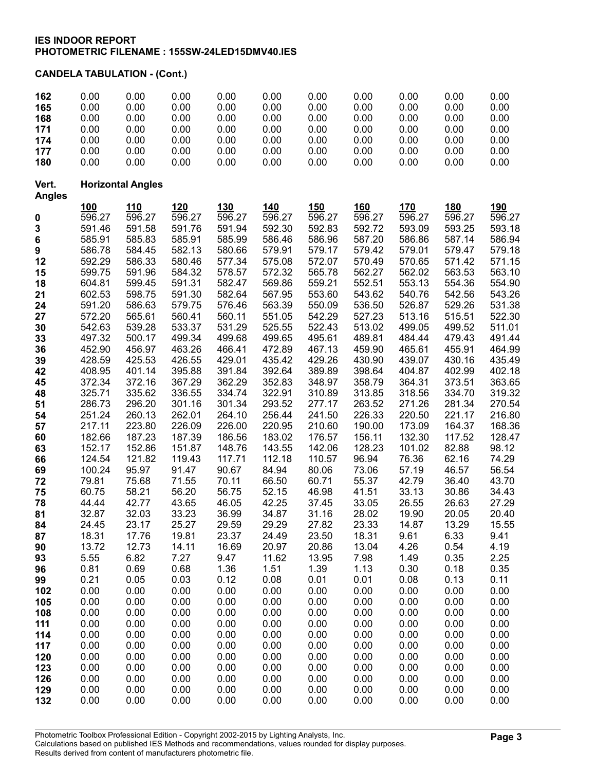| 162                    | 0.00                | 0.00                     | 0.00             | 0.00             | 0.00             | 0.00             | 0.00             | 0.00             | 0.00             | 0.00             |
|------------------------|---------------------|--------------------------|------------------|------------------|------------------|------------------|------------------|------------------|------------------|------------------|
| 165                    | 0.00                | 0.00                     | 0.00             | 0.00             | 0.00             | 0.00             | 0.00             | 0.00             | 0.00             | 0.00             |
| 168                    | 0.00                | 0.00                     | 0.00             | 0.00             | 0.00             | 0.00             | 0.00             | 0.00             | 0.00             | 0.00             |
| 171                    | 0.00                | 0.00                     | 0.00             | 0.00             | 0.00             | 0.00             | 0.00             | 0.00             | 0.00             | 0.00             |
| 174                    | 0.00<br>0.00        | 0.00<br>0.00             | 0.00<br>0.00     | 0.00<br>0.00     | 0.00<br>0.00     | 0.00<br>0.00     | 0.00<br>0.00     | 0.00<br>0.00     | 0.00<br>0.00     | 0.00<br>0.00     |
| 177<br>180             | 0.00                | 0.00                     | 0.00             | 0.00             | 0.00             | 0.00             | 0.00             | 0.00             | 0.00             | 0.00             |
|                        |                     |                          |                  |                  |                  |                  |                  |                  |                  |                  |
| Vert.<br><b>Angles</b> |                     | <b>Horizontal Angles</b> |                  |                  |                  |                  |                  |                  |                  |                  |
|                        | 100                 | <u>110</u>               | 120              | 130              | 140              | <u>150</u>       | <u>160</u>       | <u>170</u>       | <u>180</u>       | <u>190</u>       |
| $\mathbf 0$            | $\overline{596}.27$ | 596.27                   | 596.27           | 596.27           | 596.27           | 596.27           | 596.27           | 596.27           | 596.27           | 596.27           |
| 3                      | 591.46              | 591.58                   | 591.76           | 591.94           | 592.30           | 592.83           | 592.72           | 593.09           | 593.25           | 593.18           |
| 6                      | 585.91              | 585.83                   | 585.91           | 585.99           | 586.46           | 586.96           | 587.20           | 586.86           | 587.14           | 586.94           |
| 9                      | 586.78              | 584.45                   | 582.13           | 580.66           | 579.91           | 579.17           | 579.42           | 579.01           | 579.47           | 579.18           |
| 12                     | 592.29              | 586.33                   | 580.46           | 577.34           | 575.08           | 572.07           | 570.49           | 570.65           | 571.42           | 571.15           |
| 15                     | 599.75              | 591.96                   | 584.32           | 578.57           | 572.32           | 565.78           | 562.27           | 562.02           | 563.53           | 563.10           |
| 18                     | 604.81              | 599.45<br>598.75         | 591.31           | 582.47           | 569.86<br>567.95 | 559.21<br>553.60 | 552.51           | 553.13           | 554.36           | 554.90<br>543.26 |
| 21<br>24               | 602.53<br>591.20    | 586.63                   | 591.30<br>579.75 | 582.64<br>576.46 | 563.39           | 550.09           | 543.62<br>536.50 | 540.76<br>526.87 | 542.56<br>529.26 | 531.38           |
| 27                     | 572.20              | 565.61                   | 560.41           | 560.11           | 551.05           | 542.29           | 527.23           | 513.16           | 515.51           | 522.30           |
| 30                     | 542.63              | 539.28                   | 533.37           | 531.29           | 525.55           | 522.43           | 513.02           | 499.05           | 499.52           | 511.01           |
| 33                     | 497.32              | 500.17                   | 499.34           | 499.68           | 499.65           | 495.61           | 489.81           | 484.44           | 479.43           | 491.44           |
| 36                     | 452.90              | 456.97                   | 463.26           | 466.41           | 472.89           | 467.13           | 459.90           | 465.61           | 455.91           | 464.99           |
| 39                     | 428.59              | 425.53                   | 426.55           | 429.01           | 435.42           | 429.26           | 430.90           | 439.07           | 430.16           | 435.49           |
| 42                     | 408.95              | 401.14                   | 395.88           | 391.84           | 392.64           | 389.89           | 398.64           | 404.87           | 402.99           | 402.18           |
| 45                     | 372.34              | 372.16                   | 367.29           | 362.29           | 352.83           | 348.97           | 358.79           | 364.31           | 373.51           | 363.65           |
| 48                     | 325.71              | 335.62                   | 336.55           | 334.74           | 322.91           | 310.89           | 313.85           | 318.56           | 334.70           | 319.32           |
| 51                     | 286.73              | 296.20                   | 301.16           | 301.34           | 293.52           | 277.17           | 263.52           | 271.26           | 281.34           | 270.54           |
| 54                     | 251.24              | 260.13                   | 262.01           | 264.10           | 256.44           | 241.50           | 226.33           | 220.50           | 221.17           | 216.80           |
| 57<br>60               | 217.11<br>182.66    | 223.80<br>187.23         | 226.09<br>187.39 | 226.00<br>186.56 | 220.95<br>183.02 | 210.60<br>176.57 | 190.00<br>156.11 | 173.09<br>132.30 | 164.37<br>117.52 | 168.36<br>128.47 |
| 63                     | 152.17              | 152.86                   | 151.87           | 148.76           | 143.55           | 142.06           | 128.23           | 101.02           | 82.88            | 98.12            |
| 66                     | 124.54              | 121.82                   | 119.43           | 117.71           | 112.18           | 110.57           | 96.94            | 76.36            | 62.16            | 74.29            |
| 69                     | 100.24              | 95.97                    | 91.47            | 90.67            | 84.94            | 80.06            | 73.06            | 57.19            | 46.57            | 56.54            |
| 72                     | 79.81               | 75.68                    | 71.55            | 70.11            | 66.50            | 60.71            | 55.37            | 42.79            | 36.40            | 43.70            |
| 75                     | 60.75               | 58.21                    | 56.20            | 56.75            | 52.15            | 46.98            | 41.51            | 33.13            | 30.86            | 34.43            |
| 78                     | 44.44               | 42.77                    | 43.65            | 46.05            | 42.25            | 37.45            | 33.05            | 26.55            | 26.63            | 27.29            |
| 81                     | 32.87               | 32.03                    | 33.23            | 36.99            | 34.87            | 31.16            | 28.02            | 19.90            | 20.05            | 20.40            |
| 84                     | 24.45               | 23.17                    | 25.27            | 29.59            | 29.29            | 27.82            | 23.33            | 14.87            | 13.29            | 15.55            |
| 87                     | 18.31               | 17.76                    | 19.81            | 23.37            | 24.49            | 23.50            | 18.31            | 9.61             | 6.33             | 9.41             |
| 90<br>93               | 13.72<br>5.55       | 12.73<br>6.82            | 14.11<br>7.27    | 16.69<br>9.47    | 20.97<br>11.62   | 20.86<br>13.95   | 13.04<br>7.98    | 4.26<br>1.49     | 0.54<br>0.35     | 4.19<br>2.25     |
| 96                     | 0.81                | 0.69                     | 0.68             | 1.36             | 1.51             | 1.39             | 1.13             | 0.30             | 0.18             | 0.35             |
| 99                     | 0.21                | 0.05                     | 0.03             | 0.12             | 0.08             | 0.01             | 0.01             | 0.08             | 0.13             | 0.11             |
| 102                    | 0.00                | 0.00                     | 0.00             | 0.00             | 0.00             | 0.00             | 0.00             | 0.00             | 0.00             | 0.00             |
| 105                    | 0.00                | 0.00                     | 0.00             | 0.00             | 0.00             | 0.00             | 0.00             | 0.00             | 0.00             | 0.00             |
| 108                    | 0.00                | 0.00                     | 0.00             | 0.00             | 0.00             | 0.00             | 0.00             | 0.00             | 0.00             | 0.00             |
| 111                    | 0.00                | 0.00                     | 0.00             | 0.00             | 0.00             | 0.00             | 0.00             | 0.00             | 0.00             | 0.00             |
| 114                    | 0.00                | 0.00                     | 0.00             | 0.00             | 0.00             | 0.00             | 0.00             | 0.00             | 0.00             | 0.00             |
| 117                    | 0.00                | 0.00                     | 0.00             | 0.00             | 0.00             | 0.00             | 0.00             | 0.00             | 0.00             | 0.00             |
| 120                    | 0.00                | 0.00                     | 0.00             | 0.00             | 0.00             | 0.00             | 0.00             | 0.00             | 0.00             | 0.00             |
| 123<br>126             | 0.00<br>0.00        | 0.00<br>0.00             | 0.00<br>0.00     | 0.00<br>0.00     | 0.00<br>0.00     | 0.00<br>0.00     | 0.00<br>0.00     | 0.00<br>0.00     | 0.00<br>0.00     | 0.00<br>0.00     |
| 129                    | 0.00                | 0.00                     | 0.00             | 0.00             | 0.00             | 0.00             | 0.00             | 0.00             | 0.00             | 0.00             |
| 132                    | 0.00                | 0.00                     | 0.00             | 0.00             | 0.00             | 0.00             | 0.00             | 0.00             | 0.00             | 0.00             |
|                        |                     |                          |                  |                  |                  |                  |                  |                  |                  |                  |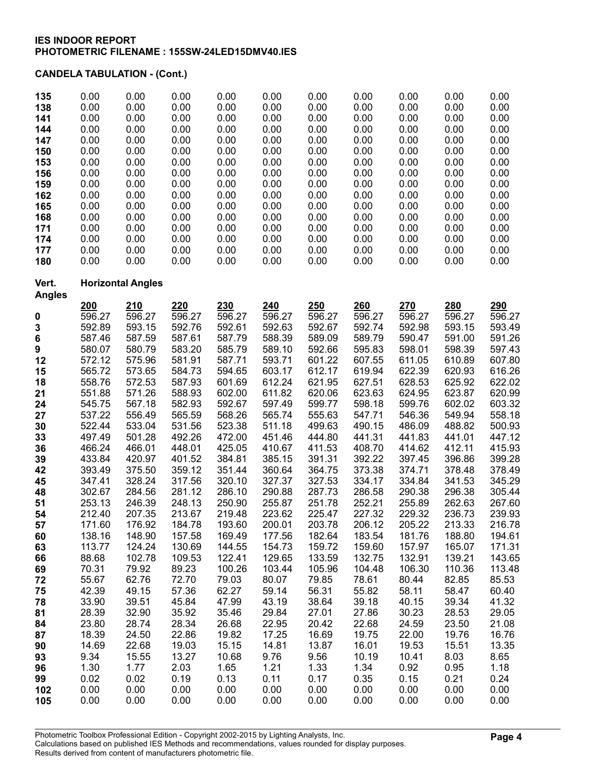| 135           | 0.00   | 0.00                     | 0.00                | 0.00   | 0.00   | 0.00   | 0.00                | 0.00   | 0.00                | 0.00       |
|---------------|--------|--------------------------|---------------------|--------|--------|--------|---------------------|--------|---------------------|------------|
| 138           | 0.00   | 0.00                     | 0.00                | 0.00   | 0.00   | 0.00   | 0.00                | 0.00   | 0.00                | 0.00       |
| 141           | 0.00   | 0.00                     | 0.00                | 0.00   | 0.00   | 0.00   | 0.00                | 0.00   | 0.00                | 0.00       |
| 144           | 0.00   | 0.00                     | 0.00                | 0.00   | 0.00   | 0.00   | 0.00                | 0.00   | 0.00                | 0.00       |
| 147           | 0.00   | 0.00                     | 0.00                | 0.00   | 0.00   | 0.00   | 0.00                | 0.00   | 0.00                | 0.00       |
| 150           | 0.00   | 0.00                     | 0.00                | 0.00   | 0.00   | 0.00   | 0.00                | 0.00   | 0.00                | 0.00       |
| 153           | 0.00   | 0.00                     | 0.00                | 0.00   | 0.00   | 0.00   | 0.00                | 0.00   | 0.00                | 0.00       |
| 156           | 0.00   | 0.00                     | 0.00                | 0.00   | 0.00   | 0.00   | 0.00                | 0.00   | 0.00                | 0.00       |
| 159           | 0.00   | 0.00                     | 0.00                | 0.00   | 0.00   | 0.00   | 0.00                | 0.00   | 0.00                | 0.00       |
| 162           | 0.00   | 0.00                     | 0.00                | 0.00   | 0.00   | 0.00   | 0.00                | 0.00   | 0.00                | 0.00       |
| 165           | 0.00   | 0.00                     | 0.00                | 0.00   | 0.00   | 0.00   | 0.00                | 0.00   | 0.00                | 0.00       |
| 168           | 0.00   | 0.00                     | 0.00                | 0.00   | 0.00   | 0.00   | 0.00                | 0.00   | 0.00                | 0.00       |
| 171           | 0.00   | 0.00                     | 0.00                | 0.00   | 0.00   | 0.00   | 0.00                | 0.00   | 0.00                | 0.00       |
| 174           | 0.00   | 0.00                     | 0.00                | 0.00   | 0.00   | 0.00   | 0.00                | 0.00   | 0.00                | 0.00       |
| 177           | 0.00   | 0.00                     | 0.00                | 0.00   | 0.00   | 0.00   | 0.00                | 0.00   | 0.00                | 0.00       |
| 180           | 0.00   | 0.00                     | 0.00                | 0.00   | 0.00   | 0.00   | 0.00                | 0.00   | 0.00                | 0.00       |
| Vert.         |        | <b>Horizontal Angles</b> |                     |        |        |        |                     |        |                     |            |
| <b>Angles</b> | 200    | 210                      | 220                 | 230    | 240    | 250    | 260                 | 270    | 280                 | <u>290</u> |
| 0             | 596.27 | 596.27                   | $\overline{596.27}$ | 596.27 | 596.27 | 596.27 | $\overline{596.27}$ | 596.27 | $\overline{596.27}$ | 596.27     |
| 3             | 592.89 | 593.15                   | 592.76              | 592.61 | 592.63 | 592.67 | 592.74              | 592.98 | 593.15              | 593.49     |
| 6             | 587.46 | 587.59                   | 587.61              | 587.79 | 588.39 | 589.09 | 589.79              | 590.47 | 591.00              | 591.26     |
| 9             | 580.07 | 580.79                   | 583.20              | 585.79 | 589.10 | 592.66 | 595.83              | 598.01 | 598.39              | 597.43     |
| 12            | 572.12 | 575.96                   | 581.91              | 587.71 | 593.71 | 601.22 | 607.55              | 611.05 | 610.89              | 607.80     |
| 15            | 565.72 | 573.65                   | 584.73              | 594.65 | 603.17 | 612.17 | 619.94              | 622.39 | 620.93              | 616.26     |
| 18            | 558.76 | 572.53                   | 587.93              | 601.69 | 612.24 | 621.95 | 627.51              | 628.53 | 625.92              | 622.02     |
| 21            | 551.88 | 571.26                   | 588.93              | 602.00 | 611.82 | 620.06 | 623.63              | 624.95 | 623.87              | 620.99     |
| 24            | 545.75 | 567.18                   | 582.93              | 592.67 | 597.49 | 599.77 | 598.18              | 599.76 | 602.02              | 603.32     |
| 27            | 537.22 | 556.49                   | 565.59              | 568.26 | 565.74 | 555.63 | 547.71              | 546.36 | 549.94              | 558.18     |
| 30            | 522.44 | 533.04                   | 531.56              | 523.38 | 511.18 | 499.63 | 490.15              | 486.09 | 488.82              | 500.93     |
| 33            | 497.49 | 501.28                   | 492.26              | 472.00 | 451.46 | 444.80 | 441.31              | 441.83 | 441.01              | 447.12     |
| 36            | 466.24 | 466.01                   | 448.01              | 425.05 | 410.67 | 411.53 | 408.70              | 414.62 | 412.11              | 415.93     |
| 39            | 433.84 | 420.97                   | 401.52              | 384.81 | 385.15 | 391.31 | 392.22              | 397.45 | 396.86              | 399.28     |
| 42            | 393.49 | 375.50                   | 359.12              | 351.44 | 360.64 | 364.75 | 373.38              | 374.71 | 378.48              | 378.49     |
| 45            | 347.41 | 328.24                   | 317.56              | 320.10 | 327.37 | 327.53 | 334.17              | 334.84 | 341.53              | 345.29     |
| 48            | 302.67 | 284.56                   | 281.12              | 286.10 | 290.88 | 287.73 | 286.58              | 290.38 | 296.38              | 305.44     |
| 51            | 253.13 | 246.39                   | 248.13              | 250.90 | 255.87 | 251.78 | 252.21              | 255.89 | 262.63              | 267.60     |
| 54            | 212.40 | 207.35                   | 213.67              | 219.48 | 223.62 | 225.47 | 227.32              | 229.32 | 236.73              | 239.93     |
| 57            | 171.60 | 176.92                   | 184.78              | 193.60 | 200.01 | 203.78 | 206.12              | 205.22 | 213.33              | 216.78     |
| 60            | 138.16 | 148.90                   | 157.58              | 169.49 | 177.56 | 182.64 | 183.54              | 181.76 | 188.80              | 194.61     |
| 63            | 113.77 | 124.24                   | 130.69              | 144.55 | 154.73 | 159.72 | 159.60              | 157.97 | 165.07              | 171.31     |
| 66            | 88.68  | 102.78                   | 109.53              | 122.41 | 129.65 | 133.59 | 132.75              | 132.91 | 139.21              | 143.65     |
| 69            | 70.31  | 79.92                    | 89.23               | 100.26 | 103.44 | 105.96 | 104.48              | 106.30 | 110.36              | 113.48     |
| 72            | 55.67  | 62.76                    | 72.70               | 79.03  | 80.07  | 79.85  | 78.61               | 80.44  | 82.85               | 85.53      |
| 75            | 42.39  | 49.15                    | 57.36               | 62.27  | 59.14  | 56.31  | 55.82               | 58.11  | 58.47               | 60.40      |
| 78            | 33.90  | 39.51                    | 45.84               | 47.99  | 43.19  | 38.64  | 39.18               | 40.15  | 39.34               | 41.32      |
| 81            | 28.39  | 32.90                    | 35.92               | 35.46  | 29.84  | 27.01  | 27.86               | 30.23  | 28.53               | 29.05      |
| 84            | 23.80  | 28.74                    | 28.34               | 26.68  | 22.95  | 20.42  | 22.68               | 24.59  | 23.50               | 21.08      |
| 87            | 18.39  | 24.50                    | 22.86               | 19.82  | 17.25  | 16.69  | 19.75               | 22.00  | 19.76               | 16.76      |
| 90            | 14.69  | 22.68                    | 19.03               | 15.15  | 14.81  | 13.87  | 16.01               | 19.53  | 15.51               | 13.35      |
| 93            | 9.34   | 15.55                    | 13.27               | 10.68  | 9.76   | 9.56   | 10.19               | 10.41  | 8.03                | 8.65       |
| 96            | 1.30   | 1.77                     | 2.03                | 1.65   | 1.21   | 1.33   | 1.34                | 0.92   | 0.95                | 1.18       |
| 99            | 0.02   | 0.02                     | 0.19                | 0.13   | 0.11   | 0.17   | 0.35                | 0.15   | 0.21                | 0.24       |
| 102           | 0.00   | 0.00                     | 0.00                | 0.00   | 0.00   | 0.00   | 0.00                | 0.00   | 0.00                | 0.00       |
| 105           | 0.00   | 0.00                     | 0.00                | 0.00   | 0.00   | 0.00   | 0.00                | 0.00   | 0.00                | 0.00       |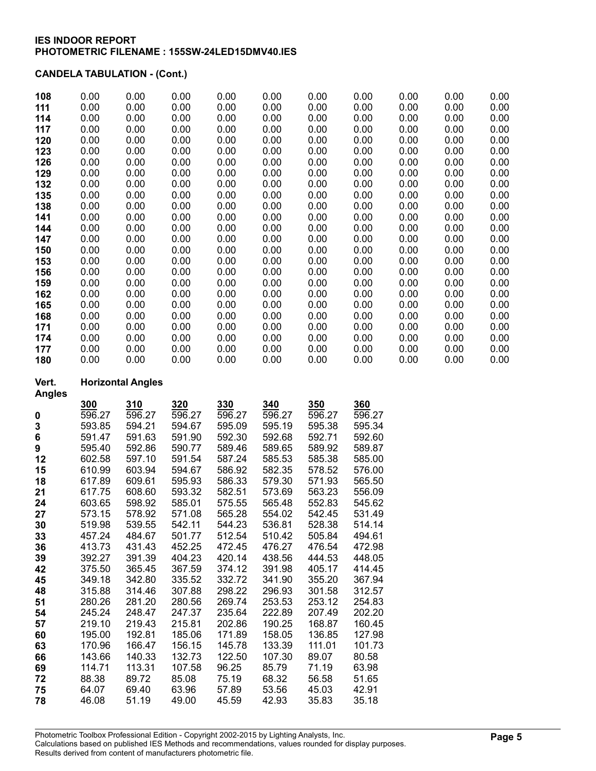| 108                    | 0.00   | 0.00                     | 0.00   | 0.00   | 0.00   | 0.00          | 0.00   | 0.00 | 0.00 | 0.00 |
|------------------------|--------|--------------------------|--------|--------|--------|---------------|--------|------|------|------|
| 111                    | 0.00   | 0.00                     | 0.00   | 0.00   | 0.00   | 0.00          | 0.00   | 0.00 | 0.00 | 0.00 |
| 114                    | 0.00   | 0.00                     | 0.00   | 0.00   | 0.00   | 0.00          | 0.00   | 0.00 | 0.00 | 0.00 |
| 117                    | 0.00   | 0.00                     | 0.00   | 0.00   | 0.00   | 0.00          | 0.00   | 0.00 | 0.00 | 0.00 |
| 120                    | 0.00   | 0.00                     | 0.00   | 0.00   | 0.00   | 0.00          | 0.00   | 0.00 | 0.00 | 0.00 |
| 123                    | 0.00   | 0.00                     | 0.00   | 0.00   | 0.00   | 0.00          | 0.00   | 0.00 | 0.00 | 0.00 |
| 126                    | 0.00   | 0.00                     | 0.00   | 0.00   | 0.00   | 0.00          | 0.00   | 0.00 | 0.00 | 0.00 |
| 129                    | 0.00   | 0.00                     | 0.00   | 0.00   | 0.00   | 0.00          | 0.00   | 0.00 | 0.00 | 0.00 |
| 132                    | 0.00   | 0.00                     | 0.00   | 0.00   | 0.00   | 0.00          | 0.00   | 0.00 | 0.00 | 0.00 |
| 135                    | 0.00   | 0.00                     | 0.00   | 0.00   | 0.00   | 0.00          | 0.00   | 0.00 | 0.00 | 0.00 |
| 138                    | 0.00   | 0.00                     | 0.00   | 0.00   | 0.00   | 0.00          | 0.00   | 0.00 | 0.00 | 0.00 |
| 141                    | 0.00   | 0.00                     | 0.00   | 0.00   | 0.00   | 0.00          | 0.00   | 0.00 | 0.00 | 0.00 |
| 144                    | 0.00   | 0.00                     | 0.00   | 0.00   | 0.00   | 0.00          | 0.00   | 0.00 | 0.00 | 0.00 |
| 147                    | 0.00   | 0.00                     | 0.00   | 0.00   | 0.00   | 0.00          | 0.00   | 0.00 | 0.00 | 0.00 |
| 150                    | 0.00   | 0.00                     | 0.00   | 0.00   | 0.00   | 0.00          | 0.00   | 0.00 | 0.00 | 0.00 |
| 153                    | 0.00   | 0.00                     | 0.00   | 0.00   | 0.00   | 0.00          | 0.00   | 0.00 | 0.00 | 0.00 |
| 156                    | 0.00   | 0.00                     | 0.00   | 0.00   | 0.00   | 0.00          | 0.00   | 0.00 | 0.00 | 0.00 |
| 159                    | 0.00   | 0.00                     | 0.00   | 0.00   | 0.00   | 0.00          | 0.00   | 0.00 | 0.00 | 0.00 |
| 162                    | 0.00   | 0.00                     | 0.00   | 0.00   | 0.00   | 0.00          | 0.00   | 0.00 | 0.00 | 0.00 |
| 165                    | 0.00   | 0.00                     | 0.00   | 0.00   | 0.00   | 0.00          | 0.00   | 0.00 | 0.00 | 0.00 |
| 168                    | 0.00   | 0.00                     | 0.00   | 0.00   | 0.00   | 0.00          | 0.00   | 0.00 | 0.00 | 0.00 |
| 171                    | 0.00   | 0.00                     | 0.00   | 0.00   | 0.00   | 0.00          | 0.00   | 0.00 | 0.00 | 0.00 |
| 174                    | 0.00   | 0.00                     | 0.00   | 0.00   | 0.00   | 0.00          | 0.00   | 0.00 | 0.00 | 0.00 |
| 177                    | 0.00   | 0.00                     | 0.00   | 0.00   | 0.00   | 0.00          | 0.00   | 0.00 | 0.00 | 0.00 |
| 180                    | 0.00   | 0.00                     | 0.00   | 0.00   | 0.00   | 0.00          | 0.00   | 0.00 | 0.00 | 0.00 |
| Vert.<br><b>Angles</b> |        | <b>Horizontal Angles</b> |        |        |        |               |        |      |      |      |
|                        | 300    | 310                      | 320    | 330    | 340    | 350           | 360    |      |      |      |
| $\pmb{0}$              | 596.27 | 596.27                   | 596.27 | 596.27 | 596.27 | 596.27        | 596.27 |      |      |      |
| 3                      | 593.85 | 594.21                   | 594.67 | 595.09 | 595.19 | 595.38        | 595.34 |      |      |      |
| 6                      | 591.47 | 591.63                   | 591.90 | 592.30 | 592.68 | 592.71        | 592.60 |      |      |      |
| 9                      | 595.40 | 592.86                   | 590.77 | 589.46 | 589.65 | 589.92        | 589.87 |      |      |      |
| $\overline{10}$        | ROO EO | <b>EQ7 10</b>            | EOME   | E07.01 | EOE EO | <b>EOE 20</b> | EOE NN |      |      |      |

|             |        | <b>00.00</b> | <b>00.00</b> | 002.OU | 00.JU  | <b>UUL.II</b> | 002.UU |
|-------------|--------|--------------|--------------|--------|--------|---------------|--------|
| 9           | 595.40 | 592.86       | 590.77       | 589.46 | 589.65 | 589.92        | 589.87 |
| 12          | 602.58 | 597.10       | 591.54       | 587.24 | 585.53 | 585.38        | 585.00 |
| 15          | 610.99 | 603.94       | 594.67       | 586.92 | 582.35 | 578.52        | 576.00 |
| 18          | 617.89 | 609.61       | 595.93       | 586.33 | 579.30 | 571.93        | 565.50 |
| 21          | 617.75 | 608.60       | 593.32       | 582.51 | 573.69 | 563.23        | 556.09 |
| 24          | 603.65 | 598.92       | 585.01       | 575.55 | 565.48 | 552.83        | 545.62 |
| 27          | 573.15 | 578.92       | 571.08       | 565.28 | 554.02 | 542.45        | 531.49 |
| 30          | 519.98 | 539.55       | 542.11       | 544.23 | 536.81 | 528.38        | 514.14 |
| 33          | 457.24 | 484.67       | 501.77       | 512.54 | 510.42 | 505.84        | 494.61 |
| 36          | 413.73 | 431.43       | 452.25       | 472.45 | 476.27 | 476.54        | 472.98 |
| 39          | 392.27 | 391.39       | 404.23       | 420.14 | 438.56 | 444.53        | 448.05 |
| 42          | 375.50 | 365.45       | 367.59       | 374.12 | 391.98 | 405.17        | 414.45 |
| 45          | 349.18 | 342.80       | 335.52       | 332.72 | 341.90 | 355.20        | 367.94 |
| 48          | 315.88 | 314.46       | 307.88       | 298.22 | 296.93 | 301.58        | 312.57 |
| 51          | 280.26 | 281.20       | 280.56       | 269.74 | 253.53 | 253.12        | 254.83 |
| 54          | 245.24 | 248.47       | 247.37       | 235.64 | 222.89 | 207.49        | 202.20 |
| 57          | 219.10 | 219.43       | 215.81       | 202.86 | 190.25 | 168.87        | 160.45 |
| 60          | 195.00 | 192.81       | 185.06       | 171.89 | 158.05 | 136.85        | 127.98 |
| 63          | 170.96 | 166.47       | 156.15       | 145.78 | 133.39 | 111.01        | 101.73 |
| 66          | 143.66 | 140.33       | 132.73       | 122.50 | 107.30 | 89.07         | 80.58  |
| 69          | 114.71 | 113.31       | 107.58       | 96.25  | 85.79  | 71.19         | 63.98  |
| 72          | 88.38  | 89.72        | 85.08        | 75.19  | 68.32  | 56.58         | 51.65  |
| 75          | 64.07  | 69.40        | 63.96        | 57.89  | 53.56  | 45.03         | 42.91  |
| 78<br>46.08 |        | 51.19        | 49.00        | 45.59  | 42.93  | 35.83         | 35.18  |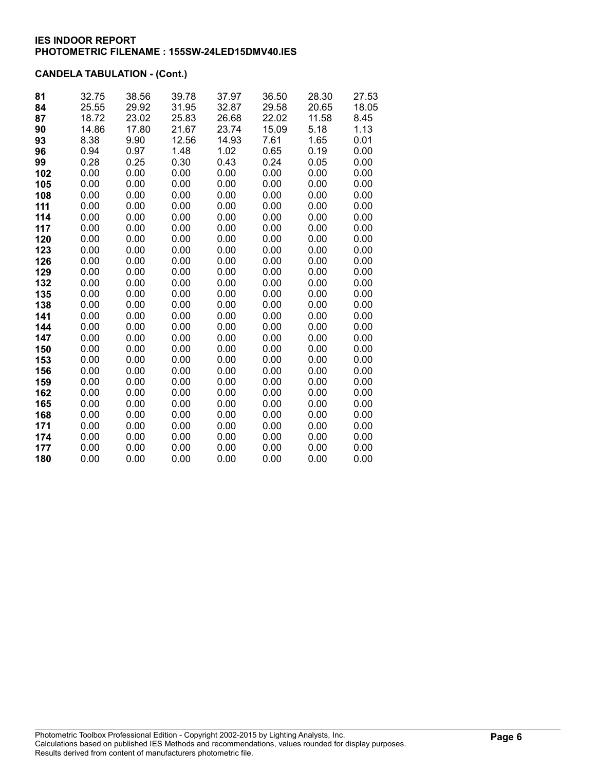| 81  | 32.75 | 38.56 | 39.78 | 37.97 | 36.50 | 28.30 | 27.53 |
|-----|-------|-------|-------|-------|-------|-------|-------|
| 84  | 25.55 | 29.92 | 31.95 | 32.87 | 29.58 | 20.65 | 18.05 |
| 87  | 18.72 | 23.02 | 25.83 | 26.68 | 22.02 | 11.58 | 8.45  |
| 90  | 14.86 | 17.80 | 21.67 | 23.74 | 15.09 | 5.18  | 1.13  |
| 93  | 8.38  | 9.90  | 12.56 | 14.93 | 7.61  | 1.65  | 0.01  |
| 96  | 0.94  | 0.97  | 1.48  | 1.02  | 0.65  | 0.19  | 0.00  |
| 99  | 0.28  | 0.25  | 0.30  | 0.43  | 0.24  | 0.05  | 0.00  |
| 102 | 0.00  | 0.00  | 0.00  | 0.00  | 0.00  | 0.00  | 0.00  |
| 105 | 0.00  | 0.00  | 0.00  | 0.00  | 0.00  | 0.00  | 0.00  |
| 108 | 0.00  | 0.00  | 0.00  | 0.00  | 0.00  | 0.00  | 0.00  |
| 111 | 0.00  | 0.00  | 0.00  | 0.00  | 0.00  | 0.00  | 0.00  |
| 114 | 0.00  | 0.00  | 0.00  | 0.00  | 0.00  | 0.00  | 0.00  |
| 117 | 0.00  | 0.00  | 0.00  | 0.00  | 0.00  | 0.00  | 0.00  |
| 120 | 0.00  | 0.00  | 0.00  | 0.00  | 0.00  | 0.00  | 0.00  |
| 123 | 0.00  | 0.00  | 0.00  | 0.00  | 0.00  | 0.00  | 0.00  |
| 126 | 0.00  | 0.00  | 0.00  | 0.00  | 0.00  | 0.00  | 0.00  |
| 129 | 0.00  | 0.00  | 0.00  | 0.00  | 0.00  | 0.00  | 0.00  |
| 132 | 0.00  | 0.00  | 0.00  | 0.00  | 0.00  | 0.00  | 0.00  |
| 135 | 0.00  | 0.00  | 0.00  | 0.00  | 0.00  | 0.00  | 0.00  |
| 138 | 0.00  | 0.00  | 0.00  | 0.00  | 0.00  | 0.00  | 0.00  |
| 141 | 0.00  | 0.00  | 0.00  | 0.00  | 0.00  | 0.00  | 0.00  |
| 144 | 0.00  | 0.00  | 0.00  | 0.00  | 0.00  | 0.00  | 0.00  |
| 147 | 0.00  | 0.00  | 0.00  | 0.00  | 0.00  | 0.00  | 0.00  |
| 150 | 0.00  | 0.00  | 0.00  | 0.00  | 0.00  | 0.00  | 0.00  |
| 153 | 0.00  | 0.00  | 0.00  | 0.00  | 0.00  | 0.00  | 0.00  |
| 156 | 0.00  | 0.00  | 0.00  | 0.00  | 0.00  | 0.00  | 0.00  |
| 159 | 0.00  | 0.00  | 0.00  | 0.00  | 0.00  | 0.00  | 0.00  |
| 162 | 0.00  | 0.00  | 0.00  | 0.00  | 0.00  | 0.00  | 0.00  |
| 165 | 0.00  | 0.00  | 0.00  | 0.00  | 0.00  | 0.00  | 0.00  |
| 168 | 0.00  | 0.00  | 0.00  | 0.00  | 0.00  | 0.00  | 0.00  |
| 171 | 0.00  | 0.00  | 0.00  | 0.00  | 0.00  | 0.00  | 0.00  |
| 174 | 0.00  | 0.00  | 0.00  | 0.00  | 0.00  | 0.00  | 0.00  |
| 177 | 0.00  | 0.00  | 0.00  | 0.00  | 0.00  | 0.00  | 0.00  |
| 180 | 0.00  | 0.00  | 0.00  | 0.00  | 0.00  | 0.00  | 0.00  |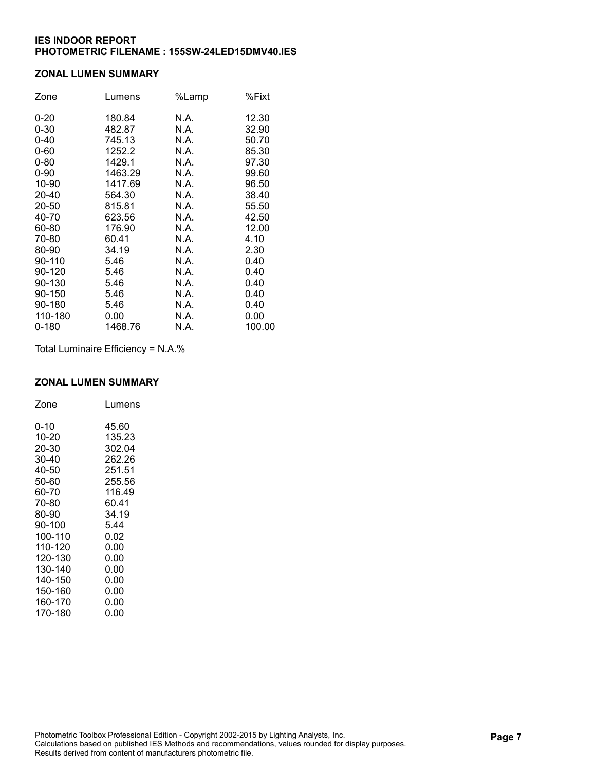### ZONAL LUMEN SUMMARY

| Zone     | Lumens  | %Lamp | %Fixt  |
|----------|---------|-------|--------|
| $0 - 20$ | 180.84  | N.A.  | 12.30  |
| $0 - 30$ | 482.87  | N.A.  | 32.90  |
| $0 - 40$ | 745.13  | N.A.  | 50.70  |
| $0 - 60$ | 1252.2  | N.A.  | 85.30  |
| $0 - 80$ | 1429.1  | N.A.  | 97.30  |
| $0 - 90$ | 1463.29 | N.A.  | 99.60  |
| 10-90    | 1417.69 | N.A.  | 96.50  |
| 20-40    | 564.30  | N.A.  | 38.40  |
| 20-50    | 815.81  | N.A.  | 55.50  |
| 40-70    | 623.56  | N.A.  | 42.50  |
| 60-80    | 176.90  | N.A.  | 12.00  |
| 70-80    | 60.41   | N.A.  | 4.10   |
| 80-90    | 34.19   | N.A.  | 2.30   |
| 90-110   | 5.46    | N.A.  | 0.40   |
| 90-120   | 5.46    | N.A.  | 0.40   |
| 90-130   | 5.46    | N.A.  | 0.40   |
| 90-150   | 5.46    | N.A.  | 0.40   |
| 90-180   | 5.46    | N.A.  | 0.40   |
| 110-180  | 0.00    | N.A.  | 0.00   |
| 0-180    | 1468.76 | N.A.  | 100.00 |

Total Luminaire Efficiency = N.A.%

## ZONAL LUMEN SUMMARY

| Zone    | Lumens |
|---------|--------|
| 0-10    | 45.60  |
| 10-20   | 135.23 |
| 20-30   | 302.04 |
| 30-40   | 262.26 |
| 40-50   | 251.51 |
| 50-60   | 255.56 |
| 60-70   | 116.49 |
| 70-80   | 60.41  |
| 80-90   | 34.19  |
| 90-100  | 5.44   |
| 100-110 | 0.02   |
| 110-120 | 0.00   |
| 120-130 | 0.00   |
| 130-140 | 0.00   |
| 140-150 | 0.00   |
| 150-160 | 0.00   |
| 160-170 | 0.00   |
| 170-180 | 0.00   |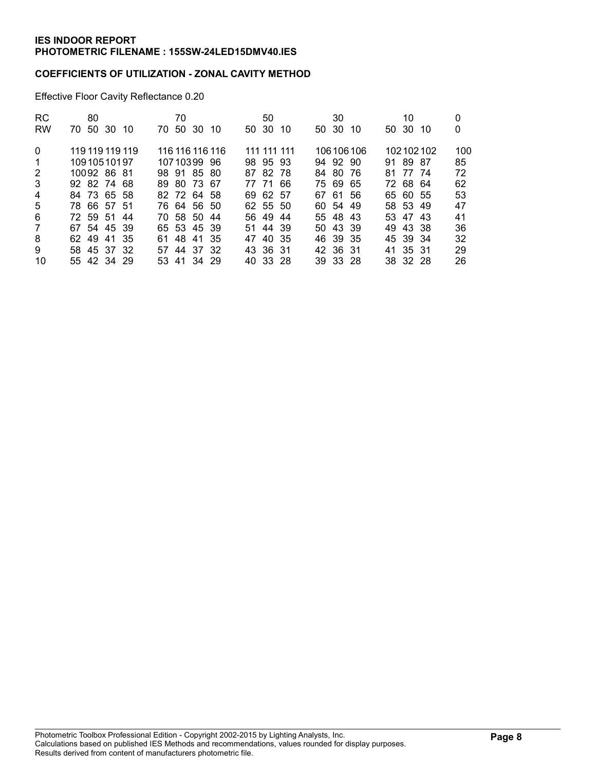### COEFFICIENTS OF UTILIZATION - ZONAL CAVITY METHOD

Effective Floor Cavity Reflectance 0.20

| <b>RC</b> | 80                 | 70                     | 50             | 30           | 10          | 0   |
|-----------|--------------------|------------------------|----------------|--------------|-------------|-----|
| <b>RW</b> | 50<br>30 10<br>70. | -30<br>50<br>70.<br>10 | 50 30<br>10    | 50 30<br>-10 | 50 30<br>10 | 0   |
| $\Omega$  | 119 119 119 119    | 116 116 116 116        | 111 111<br>111 | 106106106    | 102102102   | 100 |
| -1        | 10910510197        | 10710399 96            | 98 95 93       | 94 92 90     | 91 89 87    | 85  |
| 2         | 10092 86 81        | 98 91 85 80            | 87 82 78       | 84 80 76     | 77 74<br>81 | 72  |
| 3         | 92 82 74 68        | 89 80 73 67            | 77 71 66       | 75 69<br>-65 | 6864<br>72  | 62  |
| 4         | 84 73 65 58        | 82 72 64 58            | 69 62 57       | 67 61 56     | 65 60 55    | 53  |
| 5         | 78 66 57 51        | 76 64 56 50            | 62 55 50       | 60 54 49     | 58 53 49    | 47  |
| 6         | 72 59 51 44        | 70 58 50<br>-44        | 56 49<br>-44   | 55 48 43     | 53 47 43    | 41  |
| 7         | 67 54 45 39        | 65 53 45 39            | 51 44 39       | 50 43 39     | 49 43 38    | 36  |
| 8         | 62 49<br>41 35     | 48<br>-41<br>-35<br>61 | 40 35<br>47    | 46 39 35     | 45 39 34    | 32  |
| 9         | 58 45 37 32        | 57 44<br>37 32         | 43 36 31       | 42 36 31     | 41 35 31    | 29  |
| 10        | 55 42 34 29        | 53 41 34 29            | 40 33 28       | 39 33 28     | 38 32 28    | 26  |